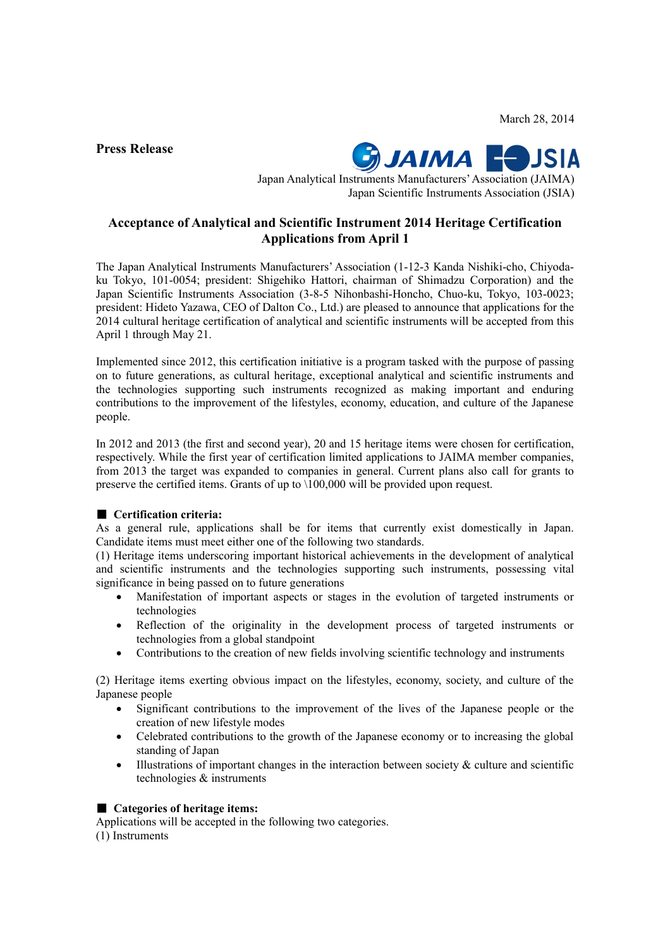March 28, 2014

**Press Release**



Japan Analytical Instruments Manufacturers' Association (JAIMA) Japan Scientific Instruments Association (JSIA)

# **Acceptance of Analytical and Scientific Instrument 2014 Heritage Certification Applications from April 1**

The Japan Analytical Instruments Manufacturers' Association (1-12-3 Kanda Nishiki-cho, Chiyodaku Tokyo, 101-0054; president: Shigehiko Hattori, chairman of Shimadzu Corporation) and the Japan Scientific Instruments Association (3-8-5 Nihonbashi-Honcho, Chuo-ku, Tokyo, 103-0023; president: Hideto Yazawa, CEO of Dalton Co., Ltd.) are pleased to announce that applications for the 2014 cultural heritage certification of analytical and scientific instruments will be accepted from this April 1 through May 21.

Implemented since 2012, this certification initiative is a program tasked with the purpose of passing on to future generations, as cultural heritage, exceptional analytical and scientific instruments and the technologies supporting such instruments recognized as making important and enduring contributions to the improvement of the lifestyles, economy, education, and culture of the Japanese people.

In 2012 and 2013 (the first and second year), 20 and 15 heritage items were chosen for certification, respectively. While the first year of certification limited applications to JAIMA member companies, from 2013 the target was expanded to companies in general. Current plans also call for grants to preserve the certified items. Grants of up to \100,000 will be provided upon request.

# ■ **Certification criteria:**

As a general rule, applications shall be for items that currently exist domestically in Japan. Candidate items must meet either one of the following two standards.

(1) Heritage items underscoring important historical achievements in the development of analytical and scientific instruments and the technologies supporting such instruments, possessing vital significance in being passed on to future generations

- Manifestation of important aspects or stages in the evolution of targeted instruments or technologies
- Reflection of the originality in the development process of targeted instruments or technologies from a global standpoint
- Contributions to the creation of new fields involving scientific technology and instruments

(2) Heritage items exerting obvious impact on the lifestyles, economy, society, and culture of the Japanese people

- Significant contributions to the improvement of the lives of the Japanese people or the creation of new lifestyle modes
- Celebrated contributions to the growth of the Japanese economy or to increasing the global standing of Japan
- $\bullet$  Illustrations of important changes in the interaction between society & culture and scientific technologies & instruments

# ■ **Categories of heritage items:**

Applications will be accepted in the following two categories. (1) Instruments